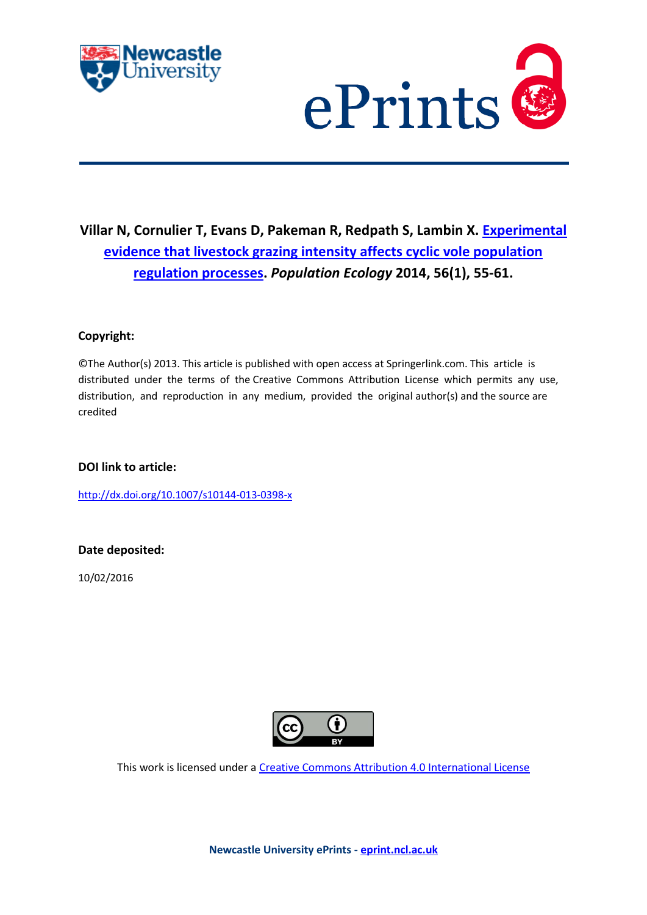



# **Villar N, Cornulier T, Evans D, Pakeman R, Redpath S, Lambin X. [Experimental](javascript:ViewPublication(218613);)  [evidence that livestock grazing intensity affects cyclic vole population](javascript:ViewPublication(218613);)  [regulation processes.](javascript:ViewPublication(218613);)** *Population Ecology* **2014, 56(1), 55-61.**

### **Copyright:**

©The Author(s) 2013. This article is published with open access at Springerlink.com. This article is distributed under the terms of the Creative Commons Attribution License which permits any use, distribution, and reproduction in any medium, provided the original author(s) and the source are credited

### **DOI link to article:**

<http://dx.doi.org/10.1007/s10144-013-0398-x>

### **Date deposited:**

10/02/2016



This work is licensed under [a Creative Commons Attribution 4.0 International License](http://creativecommons.org/licenses/by/4.0/)

**Newcastle University ePrints - [eprint.ncl.ac.uk](http://eprint.ncl.ac.uk/)**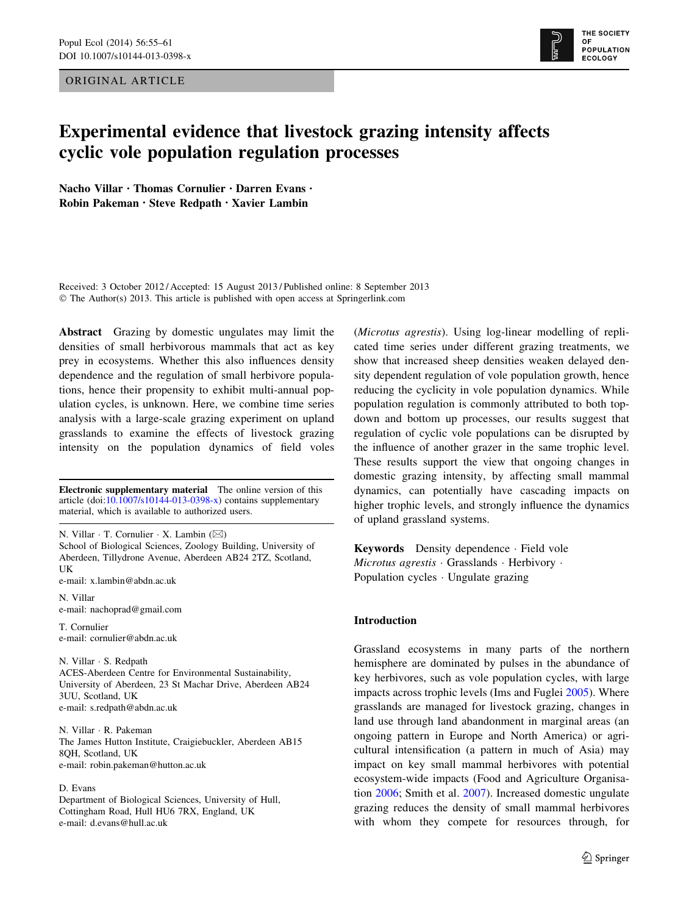ORIGINAL ARTICLE



## Experimental evidence that livestock grazing intensity affects cyclic vole population regulation processes

Nacho Villar • Thomas Cornulier • Darren Evans • Robin Pakeman • Steve Redpath • Xavier Lambin

Received: 3 October 2012 / Accepted: 15 August 2013 / Published online: 8 September 2013 © The Author(s) 2013. This article is published with open access at Springerlink.com

Abstract Grazing by domestic ungulates may limit the densities of small herbivorous mammals that act as key prey in ecosystems. Whether this also influences density dependence and the regulation of small herbivore populations, hence their propensity to exhibit multi-annual population cycles, is unknown. Here, we combine time series analysis with a large-scale grazing experiment on upland grasslands to examine the effects of livestock grazing intensity on the population dynamics of field voles

Electronic supplementary material The online version of this article (doi:[10.1007/s10144-013-0398-x\)](http://dx.doi.org/10.1007/s10144-013-0398-x) contains supplementary material, which is available to authorized users.

N. Villar  $\cdot$  T. Cornulier  $\cdot$  X. Lambin ( $\boxtimes$ ) School of Biological Sciences, Zoology Building, University of Aberdeen, Tillydrone Avenue, Aberdeen AB24 2TZ, Scotland, UK

e-mail: x.lambin@abdn.ac.uk

N. Villar e-mail: nachoprad@gmail.com

T. Cornulier e-mail: cornulier@abdn.ac.uk

N. Villar - S. Redpath ACES-Aberdeen Centre for Environmental Sustainability, University of Aberdeen, 23 St Machar Drive, Aberdeen AB24 3UU, Scotland, UK e-mail: s.redpath@abdn.ac.uk

N. Villar - R. Pakeman The James Hutton Institute, Craigiebuckler, Aberdeen AB15 8QH, Scotland, UK e-mail: robin.pakeman@hutton.ac.uk

#### D. Evans

Department of Biological Sciences, University of Hull, Cottingham Road, Hull HU6 7RX, England, UK e-mail: d.evans@hull.ac.uk

(Microtus agrestis). Using log-linear modelling of replicated time series under different grazing treatments, we show that increased sheep densities weaken delayed density dependent regulation of vole population growth, hence reducing the cyclicity in vole population dynamics. While population regulation is commonly attributed to both topdown and bottom up processes, our results suggest that regulation of cyclic vole populations can be disrupted by the influence of another grazer in the same trophic level. These results support the view that ongoing changes in domestic grazing intensity, by affecting small mammal dynamics, can potentially have cascading impacts on higher trophic levels, and strongly influence the dynamics of upland grassland systems.

Keywords Density dependence - Field vole Microtus agrestis · Grasslands · Herbivory · Population cycles - Ungulate grazing

#### Introduction

Grassland ecosystems in many parts of the northern hemisphere are dominated by pulses in the abundance of key herbivores, such as vole population cycles, with large impacts across trophic levels (Ims and Fuglei [2005](#page-6-0)). Where grasslands are managed for livestock grazing, changes in land use through land abandonment in marginal areas (an ongoing pattern in Europe and North America) or agricultural intensification (a pattern in much of Asia) may impact on key small mammal herbivores with potential ecosystem-wide impacts (Food and Agriculture Organisation [2006;](#page-6-0) Smith et al. [2007](#page-7-0)). Increased domestic ungulate grazing reduces the density of small mammal herbivores with whom they compete for resources through, for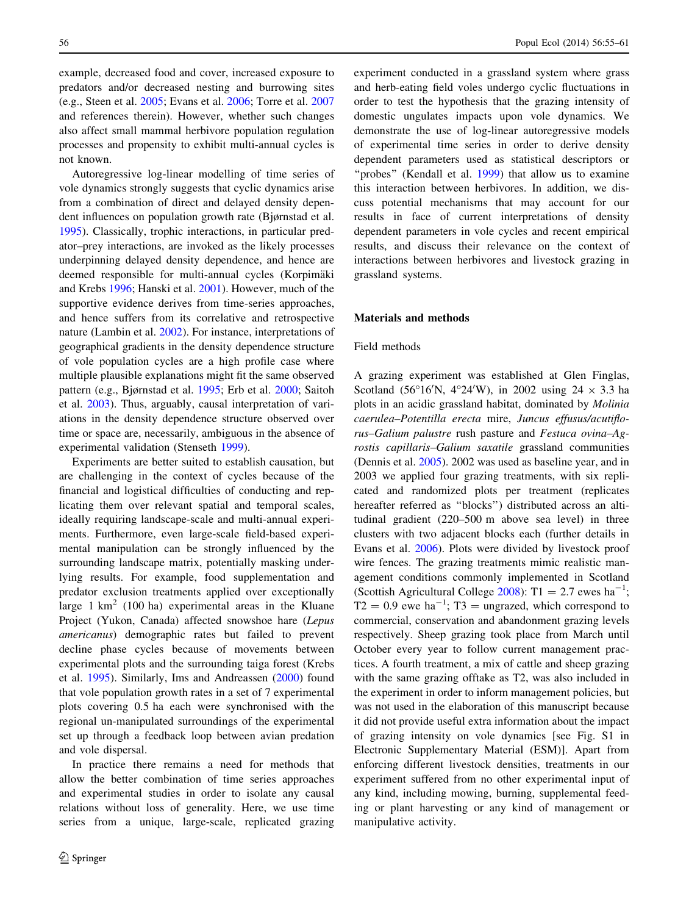example, decreased food and cover, increased exposure to predators and/or decreased nesting and burrowing sites (e.g., Steen et al. [2005](#page-7-0); Evans et al. [2006](#page-6-0); Torre et al. [2007](#page-7-0) and references therein). However, whether such changes also affect small mammal herbivore population regulation processes and propensity to exhibit multi-annual cycles is not known.

Autoregressive log-linear modelling of time series of vole dynamics strongly suggests that cyclic dynamics arise from a combination of direct and delayed density dependent influences on population growth rate (Bjørnstad et al. [1995\)](#page-6-0). Classically, trophic interactions, in particular predator–prey interactions, are invoked as the likely processes underpinning delayed density dependence, and hence are deemed responsible for multi-annual cycles (Korpimäki and Krebs [1996](#page-6-0); Hanski et al. [2001\)](#page-6-0). However, much of the supportive evidence derives from time-series approaches, and hence suffers from its correlative and retrospective nature (Lambin et al. [2002\)](#page-6-0). For instance, interpretations of geographical gradients in the density dependence structure of vole population cycles are a high profile case where multiple plausible explanations might fit the same observed pattern (e.g., Bjørnstad et al. [1995;](#page-6-0) Erb et al. [2000;](#page-6-0) Saitoh et al. [2003](#page-6-0)). Thus, arguably, causal interpretation of variations in the density dependence structure observed over time or space are, necessarily, ambiguous in the absence of experimental validation (Stenseth [1999\)](#page-7-0).

Experiments are better suited to establish causation, but are challenging in the context of cycles because of the financial and logistical difficulties of conducting and replicating them over relevant spatial and temporal scales, ideally requiring landscape-scale and multi-annual experiments. Furthermore, even large-scale field-based experimental manipulation can be strongly influenced by the surrounding landscape matrix, potentially masking underlying results. For example, food supplementation and predator exclusion treatments applied over exceptionally large  $1 \text{ km}^2$  (100 ha) experimental areas in the Kluane Project (Yukon, Canada) affected snowshoe hare (Lepus americanus) demographic rates but failed to prevent decline phase cycles because of movements between experimental plots and the surrounding taiga forest (Krebs et al. [1995](#page-6-0)). Similarly, Ims and Andreassen ([2000\)](#page-6-0) found that vole population growth rates in a set of 7 experimental plots covering 0.5 ha each were synchronised with the regional un-manipulated surroundings of the experimental set up through a feedback loop between avian predation and vole dispersal.

In practice there remains a need for methods that allow the better combination of time series approaches and experimental studies in order to isolate any causal relations without loss of generality. Here, we use time series from a unique, large-scale, replicated grazing experiment conducted in a grassland system where grass and herb-eating field voles undergo cyclic fluctuations in order to test the hypothesis that the grazing intensity of domestic ungulates impacts upon vole dynamics. We demonstrate the use of log-linear autoregressive models of experimental time series in order to derive density dependent parameters used as statistical descriptors or "probes" (Kendall et al. [1999](#page-6-0)) that allow us to examine this interaction between herbivores. In addition, we discuss potential mechanisms that may account for our results in face of current interpretations of density dependent parameters in vole cycles and recent empirical results, and discuss their relevance on the context of interactions between herbivores and livestock grazing in grassland systems.

#### Materials and methods

#### Field methods

A grazing experiment was established at Glen Finglas, Scotland (56°16'N, 4°24'W), in 2002 using 24  $\times$  3.3 ha plots in an acidic grassland habitat, dominated by Molinia caerulea–Potentilla erecta mire, Juncus effusus/acutiflorus–Galium palustre rush pasture and Festuca ovina–Agrostis capillaris–Galium saxatile grassland communities (Dennis et al. [2005](#page-6-0)). 2002 was used as baseline year, and in 2003 we applied four grazing treatments, with six replicated and randomized plots per treatment (replicates hereafter referred as ''blocks'') distributed across an altitudinal gradient (220–500 m above sea level) in three clusters with two adjacent blocks each (further details in Evans et al. [2006\)](#page-6-0). Plots were divided by livestock proof wire fences. The grazing treatments mimic realistic management conditions commonly implemented in Scotland (Scottish Agricultural College [2008](#page-6-0)): T1 = 2.7 ewes  $ha^{-1}$ ;  $T2 = 0.9$  ewe ha<sup>-1</sup>; T3 = ungrazed, which correspond to commercial, conservation and abandonment grazing levels respectively. Sheep grazing took place from March until October every year to follow current management practices. A fourth treatment, a mix of cattle and sheep grazing with the same grazing offtake as T2, was also included in the experiment in order to inform management policies, but was not used in the elaboration of this manuscript because it did not provide useful extra information about the impact of grazing intensity on vole dynamics [see Fig. S1 in Electronic Supplementary Material (ESM)]. Apart from enforcing different livestock densities, treatments in our experiment suffered from no other experimental input of any kind, including mowing, burning, supplemental feeding or plant harvesting or any kind of management or manipulative activity.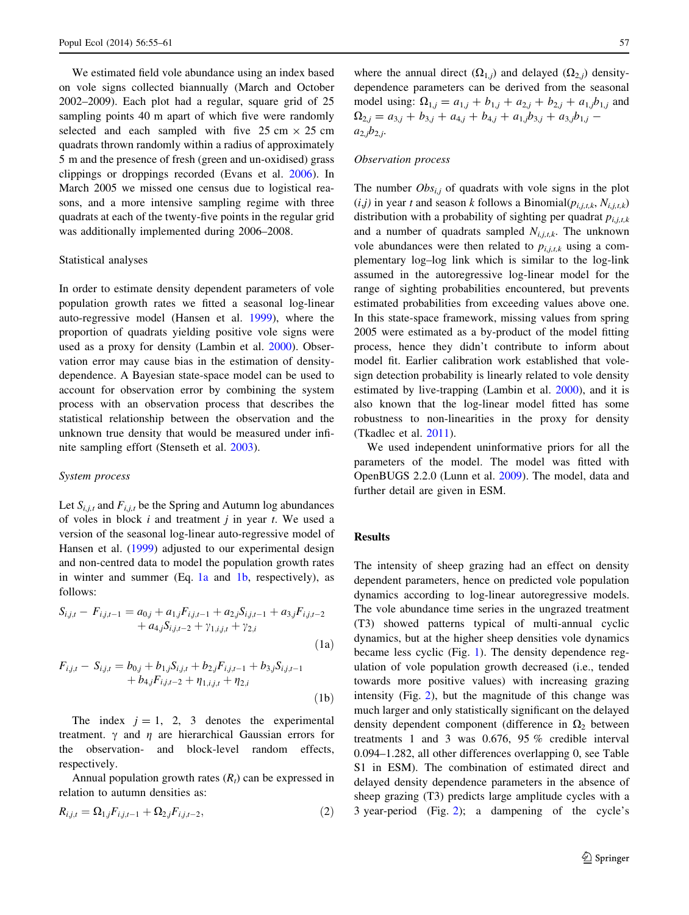We estimated field vole abundance using an index based on vole signs collected biannually (March and October 2002–2009). Each plot had a regular, square grid of 25 sampling points 40 m apart of which five were randomly selected and each sampled with five 25 cm  $\times$  25 cm quadrats thrown randomly within a radius of approximately 5 m and the presence of fresh (green and un-oxidised) grass clippings or droppings recorded (Evans et al. [2006](#page-6-0)). In March 2005 we missed one census due to logistical reasons, and a more intensive sampling regime with three quadrats at each of the twenty-five points in the regular grid was additionally implemented during 2006–2008.

#### Statistical analyses

In order to estimate density dependent parameters of vole population growth rates we fitted a seasonal log-linear auto-regressive model (Hansen et al. [1999](#page-6-0)), where the proportion of quadrats yielding positive vole signs were used as a proxy for density (Lambin et al. [2000](#page-6-0)). Observation error may cause bias in the estimation of densitydependence. A Bayesian state-space model can be used to account for observation error by combining the system process with an observation process that describes the statistical relationship between the observation and the unknown true density that would be measured under infinite sampling effort (Stenseth et al. [2003](#page-7-0)).

#### System process

Let  $S_{i,j,t}$  and  $F_{i,j,t}$  be the Spring and Autumn log abundances of voles in block  $i$  and treatment  $j$  in year  $t$ . We used a version of the seasonal log-linear auto-regressive model of Hansen et al. [\(1999](#page-6-0)) adjusted to our experimental design and non-centred data to model the population growth rates in winter and summer (Eq.  $1a$  and  $1b$ , respectively), as follows:

$$
S_{i,j,t} - F_{i,j,t-1} = a_{0,j} + a_{1,j}F_{i,j,t-1} + a_{2,j}S_{i,j,t-1} + a_{3,j}F_{i,j,t-2} + a_{4,j}S_{i,j,t-2} + \gamma_{1,i,j,t} + \gamma_{2,i}
$$
\n(1a)

$$
F_{i,j,t} - S_{i,j,t} = b_{0,j} + b_{1,j}S_{i,j,t} + b_{2,j}F_{i,j,t-1} + b_{3,j}S_{i,j,t-1} + b_{4,j}F_{i,j,t-2} + \eta_{1,i,j,t} + \eta_{2,i}
$$
\n(1b)

The index  $j = 1, 2, 3$  denotes the experimental treatment.  $\gamma$  and  $\eta$  are hierarchical Gaussian errors for the observation- and block-level random effects, respectively.

Annual population growth rates  $(R_t)$  can be expressed in relation to autumn densities as:

$$
R_{i,j,t} = \Omega_{1,j} F_{i,j,t-1} + \Omega_{2,j} F_{i,j,t-2},
$$
\n(2)

where the annual direct  $(\Omega_{1,j})$  and delayed  $(\Omega_{2,j})$  densitydependence parameters can be derived from the seasonal model using:  $\Omega_{1,j} = a_{1,j} + b_{1,j} + a_{2,j} + b_{2,j} + a_{1,j}b_{1,j}$  and  $\Omega_{2,j} = a_{3,j} + b_{3,j} + a_{4,j} + b_{4,j} + a_{1,j}b_{3,j} + a_{3,j}b_{1,j}$  $a_{2,j}b_{2,j}$ .

#### Observation process

The number  $Obs_{i,j}$  of quadrats with vole signs in the plot  $(i,j)$  in year t and season k follows a Binomial $(p_{i,i,t,k}, N_{i,i,t,k})$ distribution with a probability of sighting per quadrat  $p_{i,i,k}$ and a number of quadrats sampled  $N_{i,j,t,k}$ . The unknown vole abundances were then related to  $p_{i,j,t,k}$  using a complementary log–log link which is similar to the log-link assumed in the autoregressive log-linear model for the range of sighting probabilities encountered, but prevents estimated probabilities from exceeding values above one. In this state-space framework, missing values from spring 2005 were estimated as a by-product of the model fitting process, hence they didn't contribute to inform about model fit. Earlier calibration work established that volesign detection probability is linearly related to vole density estimated by live-trapping (Lambin et al. [2000](#page-6-0)), and it is also known that the log-linear model fitted has some robustness to non-linearities in the proxy for density (Tkadlec et al. [2011\)](#page-7-0).

We used independent uninformative priors for all the parameters of the model. The model was fitted with OpenBUGS 2.2.0 (Lunn et al. [2009](#page-6-0)). The model, data and further detail are given in ESM.

#### Results

The intensity of sheep grazing had an effect on density dependent parameters, hence on predicted vole population dynamics according to log-linear autoregressive models. The vole abundance time series in the ungrazed treatment (T3) showed patterns typical of multi-annual cyclic dynamics, but at the higher sheep densities vole dynamics became less cyclic (Fig. [1\)](#page-4-0). The density dependence regulation of vole population growth decreased (i.e., tended towards more positive values) with increasing grazing intensity (Fig. [2\)](#page-5-0), but the magnitude of this change was much larger and only statistically significant on the delayed density dependent component (difference in  $\Omega_2$  between treatments 1 and 3 was 0.676, 95 % credible interval 0.094–1.282, all other differences overlapping 0, see Table S1 in ESM). The combination of estimated direct and delayed density dependence parameters in the absence of sheep grazing (T3) predicts large amplitude cycles with a 3 year-period (Fig. [2\)](#page-5-0); a dampening of the cycle's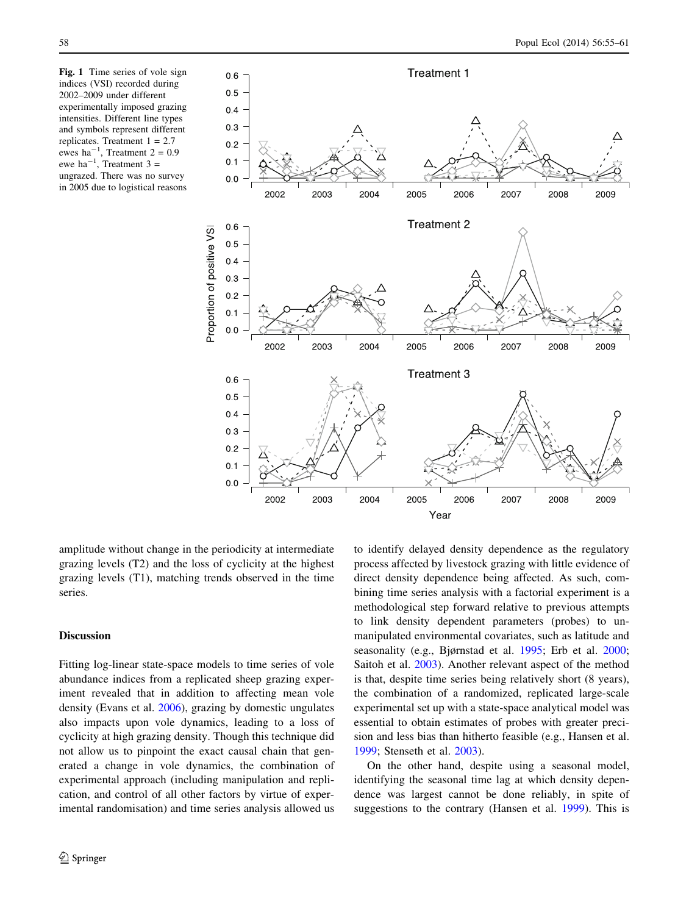<span id="page-4-0"></span>Fig. 1 Time series of vole sign indices (VSI) recorded during 2002–2009 under different experimentally imposed grazing intensities. Different line types and symbols represent different replicates. Treatment  $1 = 2.7$ ewes ha<sup>-1</sup>, Treatment 2 = 0.9<br>ewe ha<sup>-1</sup>, Treatment 3 = ungrazed. There was no survey in 2005 due to logistical reasons



amplitude without change in the periodicity at intermediate grazing levels (T2) and the loss of cyclicity at the highest grazing levels (T1), matching trends observed in the time series.

#### Discussion

Fitting log-linear state-space models to time series of vole abundance indices from a replicated sheep grazing experiment revealed that in addition to affecting mean vole density (Evans et al. [2006\)](#page-6-0), grazing by domestic ungulates also impacts upon vole dynamics, leading to a loss of cyclicity at high grazing density. Though this technique did not allow us to pinpoint the exact causal chain that generated a change in vole dynamics, the combination of experimental approach (including manipulation and replication, and control of all other factors by virtue of experimental randomisation) and time series analysis allowed us to identify delayed density dependence as the regulatory process affected by livestock grazing with little evidence of direct density dependence being affected. As such, combining time series analysis with a factorial experiment is a methodological step forward relative to previous attempts to link density dependent parameters (probes) to unmanipulated environmental covariates, such as latitude and seasonality (e.g., Bjørnstad et al. [1995](#page-6-0); Erb et al. [2000](#page-6-0); Saitoh et al. [2003](#page-6-0)). Another relevant aspect of the method is that, despite time series being relatively short (8 years), the combination of a randomized, replicated large-scale experimental set up with a state-space analytical model was essential to obtain estimates of probes with greater precision and less bias than hitherto feasible (e.g., Hansen et al. [1999](#page-6-0); Stenseth et al. [2003](#page-7-0)).

On the other hand, despite using a seasonal model, identifying the seasonal time lag at which density dependence was largest cannot be done reliably, in spite of suggestions to the contrary (Hansen et al. [1999\)](#page-6-0). This is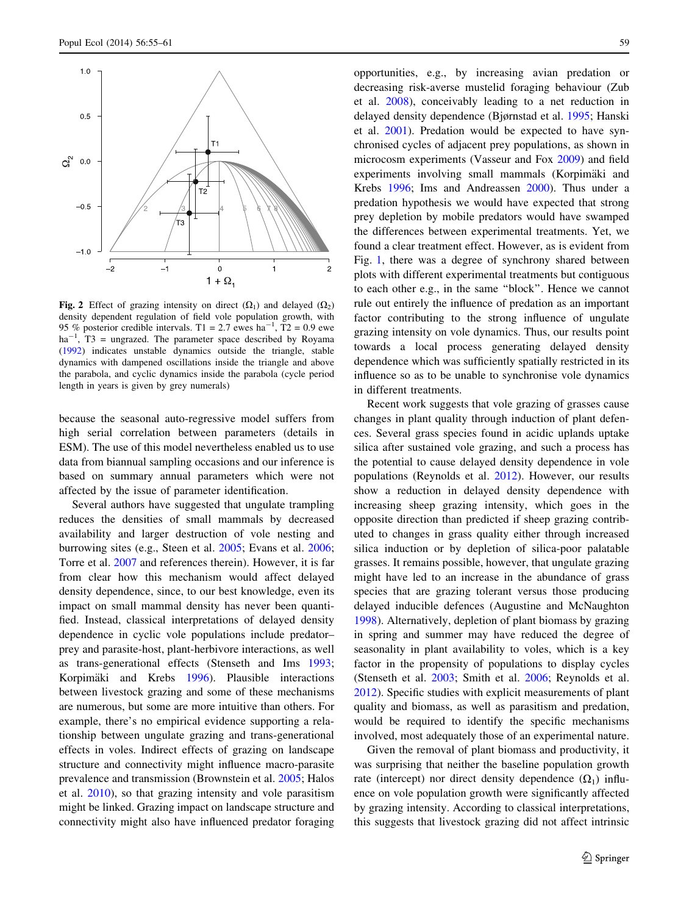<span id="page-5-0"></span>

Fig. 2 Effect of grazing intensity on direct  $(\Omega_1)$  and delayed  $(\Omega_2)$ density dependent regulation of field vole population growth, with 95 % posterior credible intervals. T1 = 2.7 ewes  $ha^{-1}$ , T2 = 0.9 ewe  $ha^{-1}$ , T3 = ungrazed. The parameter space described by Royama ([1992\)](#page-6-0) indicates unstable dynamics outside the triangle, stable dynamics with dampened oscillations inside the triangle and above the parabola, and cyclic dynamics inside the parabola (cycle period length in years is given by grey numerals)

because the seasonal auto-regressive model suffers from high serial correlation between parameters (details in ESM). The use of this model nevertheless enabled us to use data from biannual sampling occasions and our inference is based on summary annual parameters which were not affected by the issue of parameter identification.

Several authors have suggested that ungulate trampling reduces the densities of small mammals by decreased availability and larger destruction of vole nesting and burrowing sites (e.g., Steen et al. [2005](#page-7-0); Evans et al. [2006](#page-6-0); Torre et al. [2007](#page-7-0) and references therein). However, it is far from clear how this mechanism would affect delayed density dependence, since, to our best knowledge, even its impact on small mammal density has never been quantified. Instead, classical interpretations of delayed density dependence in cyclic vole populations include predator– prey and parasite-host, plant-herbivore interactions, as well as trans-generational effects (Stenseth and Ims [1993](#page-7-0); Korpimäki and Krebs [1996\)](#page-6-0). Plausible interactions between livestock grazing and some of these mechanisms are numerous, but some are more intuitive than others. For example, there's no empirical evidence supporting a relationship between ungulate grazing and trans-generational effects in voles. Indirect effects of grazing on landscape structure and connectivity might influence macro-parasite prevalence and transmission (Brownstein et al. [2005;](#page-6-0) Halos et al. [2010\)](#page-6-0), so that grazing intensity and vole parasitism might be linked. Grazing impact on landscape structure and connectivity might also have influenced predator foraging opportunities, e.g., by increasing avian predation or decreasing risk-averse mustelid foraging behaviour (Zub et al. [2008\)](#page-7-0), conceivably leading to a net reduction in delayed density dependence (Bjørnstad et al. [1995](#page-6-0); Hanski et al. [2001\)](#page-6-0). Predation would be expected to have synchronised cycles of adjacent prey populations, as shown in microcosm experiments (Vasseur and Fox [2009\)](#page-7-0) and field experiments involving small mammals (Korpimäki and Krebs [1996](#page-6-0); Ims and Andreassen [2000](#page-6-0)). Thus under a predation hypothesis we would have expected that strong prey depletion by mobile predators would have swamped the differences between experimental treatments. Yet, we found a clear treatment effect. However, as is evident from Fig. [1](#page-4-0), there was a degree of synchrony shared between plots with different experimental treatments but contiguous to each other e.g., in the same ''block''. Hence we cannot rule out entirely the influence of predation as an important factor contributing to the strong influence of ungulate grazing intensity on vole dynamics. Thus, our results point towards a local process generating delayed density dependence which was sufficiently spatially restricted in its influence so as to be unable to synchronise vole dynamics in different treatments.

Recent work suggests that vole grazing of grasses cause changes in plant quality through induction of plant defences. Several grass species found in acidic uplands uptake silica after sustained vole grazing, and such a process has the potential to cause delayed density dependence in vole populations (Reynolds et al. [2012](#page-6-0)). However, our results show a reduction in delayed density dependence with increasing sheep grazing intensity, which goes in the opposite direction than predicted if sheep grazing contributed to changes in grass quality either through increased silica induction or by depletion of silica-poor palatable grasses. It remains possible, however, that ungulate grazing might have led to an increase in the abundance of grass species that are grazing tolerant versus those producing delayed inducible defences (Augustine and McNaughton [1998](#page-6-0)). Alternatively, depletion of plant biomass by grazing in spring and summer may have reduced the degree of seasonality in plant availability to voles, which is a key factor in the propensity of populations to display cycles (Stenseth et al. [2003](#page-7-0); Smith et al. [2006;](#page-7-0) Reynolds et al. [2012](#page-6-0)). Specific studies with explicit measurements of plant quality and biomass, as well as parasitism and predation, would be required to identify the specific mechanisms involved, most adequately those of an experimental nature.

Given the removal of plant biomass and productivity, it was surprising that neither the baseline population growth rate (intercept) nor direct density dependence  $(\Omega_1)$  influence on vole population growth were significantly affected by grazing intensity. According to classical interpretations, this suggests that livestock grazing did not affect intrinsic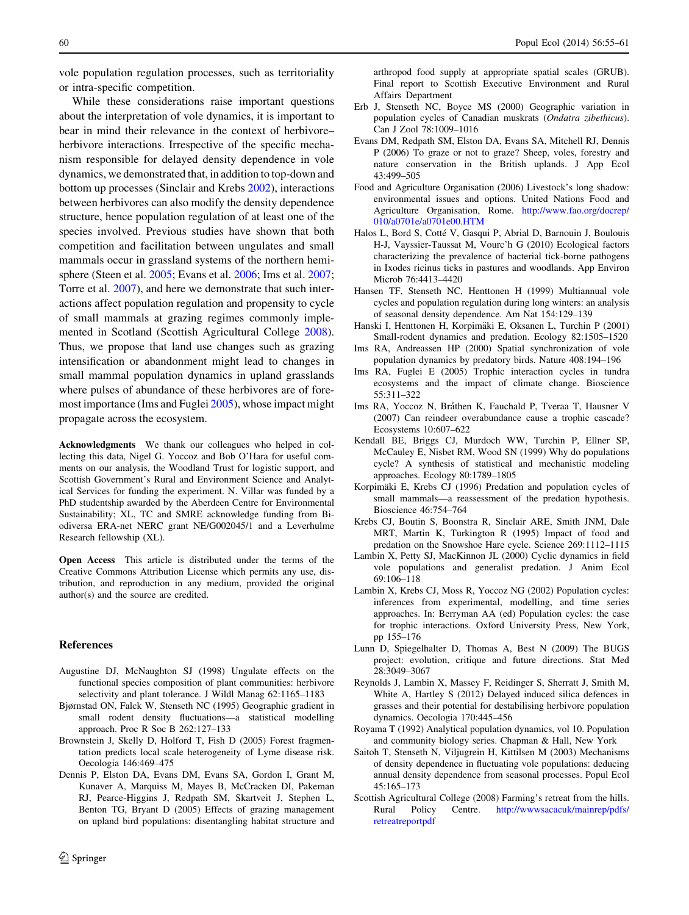<span id="page-6-0"></span>vole population regulation processes, such as territoriality or intra-specific competition.

While these considerations raise important questions about the interpretation of vole dynamics, it is important to bear in mind their relevance in the context of herbivore– herbivore interactions. Irrespective of the specific mechanism responsible for delayed density dependence in vole dynamics, we demonstrated that, in addition to top-down and bottom up processes (Sinclair and Krebs [2002](#page-7-0)), interactions between herbivores can also modify the density dependence structure, hence population regulation of at least one of the species involved. Previous studies have shown that both competition and facilitation between ungulates and small mammals occur in grassland systems of the northern hemisphere (Steen et al. [2005;](#page-7-0) Evans et al. 2006; Ims et al. 2007; Torre et al. [2007\)](#page-7-0), and here we demonstrate that such interactions affect population regulation and propensity to cycle of small mammals at grazing regimes commonly implemented in Scotland (Scottish Agricultural College 2008). Thus, we propose that land use changes such as grazing intensification or abandonment might lead to changes in small mammal population dynamics in upland grasslands where pulses of abundance of these herbivores are of foremost importance (Ims and Fuglei 2005), whose impact might propagate across the ecosystem.

Acknowledgments We thank our colleagues who helped in collecting this data, Nigel G. Yoccoz and Bob O'Hara for useful comments on our analysis, the Woodland Trust for logistic support, and Scottish Government's Rural and Environment Science and Analytical Services for funding the experiment. N. Villar was funded by a PhD studentship awarded by the Aberdeen Centre for Environmental Sustainability; XL, TC and SMRE acknowledge funding from Biodiversa ERA-net NERC grant NE/G002045/1 and a Leverhulme Research fellowship (XL).

Open Access This article is distributed under the terms of the Creative Commons Attribution License which permits any use, distribution, and reproduction in any medium, provided the original author(s) and the source are credited.

#### References

- Augustine DJ, McNaughton SJ (1998) Ungulate effects on the functional species composition of plant communities: herbivore selectivity and plant tolerance. J Wildl Manag 62:1165–1183
- Bjørnstad ON, Falck W, Stenseth NC (1995) Geographic gradient in small rodent density fluctuations—a statistical modelling approach. Proc R Soc B 262:127–133
- Brownstein J, Skelly D, Holford T, Fish D (2005) Forest fragmentation predicts local scale heterogeneity of Lyme disease risk. Oecologia 146:469–475
- Dennis P, Elston DA, Evans DM, Evans SA, Gordon I, Grant M, Kunaver A, Marquiss M, Mayes B, McCracken DI, Pakeman RJ, Pearce-Higgins J, Redpath SM, Skartveit J, Stephen L, Benton TG, Bryant D (2005) Effects of grazing management on upland bird populations: disentangling habitat structure and

arthropod food supply at appropriate spatial scales (GRUB). Final report to Scottish Executive Environment and Rural Affairs Department

- Erb J, Stenseth NC, Boyce MS (2000) Geographic variation in population cycles of Canadian muskrats (Ondatra zibethicus). Can J Zool 78:1009–1016
- Evans DM, Redpath SM, Elston DA, Evans SA, Mitchell RJ, Dennis P (2006) To graze or not to graze? Sheep, voles, forestry and nature conservation in the British uplands. J App Ecol 43:499–505
- Food and Agriculture Organisation (2006) Livestock's long shadow: environmental issues and options. United Nations Food and Agriculture Organisation, Rome. [http://www.fao.org/docrep/](http://www.fao.org/docrep/010/a0701e/a0701e00.HTM) [010/a0701e/a0701e00.HTM](http://www.fao.org/docrep/010/a0701e/a0701e00.HTM)
- Halos L, Bord S, Cotté V, Gasqui P, Abrial D, Barnouin J, Boulouis H-J, Vayssier-Taussat M, Vourc'h G (2010) Ecological factors characterizing the prevalence of bacterial tick-borne pathogens in Ixodes ricinus ticks in pastures and woodlands. App Environ Microb 76:4413–4420
- Hansen TF, Stenseth NC, Henttonen H (1999) Multiannual vole cycles and population regulation during long winters: an analysis of seasonal density dependence. Am Nat 154:129–139
- Hanski I, Henttonen H, Korpimäki E, Oksanen L, Turchin P (2001) Small-rodent dynamics and predation. Ecology 82:1505–1520
- Ims RA, Andreassen HP (2000) Spatial synchronization of vole population dynamics by predatory birds. Nature 408:194–196
- Ims RA, Fuglei E (2005) Trophic interaction cycles in tundra ecosystems and the impact of climate change. Bioscience 55:311–322
- Ims RA, Yoccoz N, Bråthen K, Fauchald P, Tveraa T, Hausner V (2007) Can reindeer overabundance cause a trophic cascade? Ecosystems 10:607–622
- Kendall BE, Briggs CJ, Murdoch WW, Turchin P, Ellner SP, McCauley E, Nisbet RM, Wood SN (1999) Why do populations cycle? A synthesis of statistical and mechanistic modeling approaches. Ecology 80:1789–1805
- Korpimäki E, Krebs CJ (1996) Predation and population cycles of small mammals—a reassessment of the predation hypothesis. Bioscience 46:754–764
- Krebs CJ, Boutin S, Boonstra R, Sinclair ARE, Smith JNM, Dale MRT, Martin K, Turkington R (1995) Impact of food and predation on the Snowshoe Hare cycle. Science 269:1112–1115
- Lambin X, Petty SJ, MacKinnon JL (2000) Cyclic dynamics in field vole populations and generalist predation. J Anim Ecol 69:106–118
- Lambin X, Krebs CJ, Moss R, Yoccoz NG (2002) Population cycles: inferences from experimental, modelling, and time series approaches. In: Berryman AA (ed) Population cycles: the case for trophic interactions. Oxford University Press, New York, pp 155–176
- Lunn D, Spiegelhalter D, Thomas A, Best N (2009) The BUGS project: evolution, critique and future directions. Stat Med 28:3049–3067
- Reynolds J, Lambin X, Massey F, Reidinger S, Sherratt J, Smith M, White A, Hartley S (2012) Delayed induced silica defences in grasses and their potential for destabilising herbivore population dynamics. Oecologia 170:445–456
- Royama T (1992) Analytical population dynamics, vol 10. Population and community biology series. Chapman & Hall, New York
- Saitoh T, Stenseth N, Viljugrein H, Kittilsen M (2003) Mechanisms of density dependence in fluctuating vole populations: deducing annual density dependence from seasonal processes. Popul Ecol 45:165–173
- Scottish Agricultural College (2008) Farming's retreat from the hills. Rural Policy Centre. [http://wwwsacacuk/mainrep/pdfs/](http://wwwsacacuk/mainrep/pdfs/retreatreportpdf) [retreatreportpdf](http://wwwsacacuk/mainrep/pdfs/retreatreportpdf)